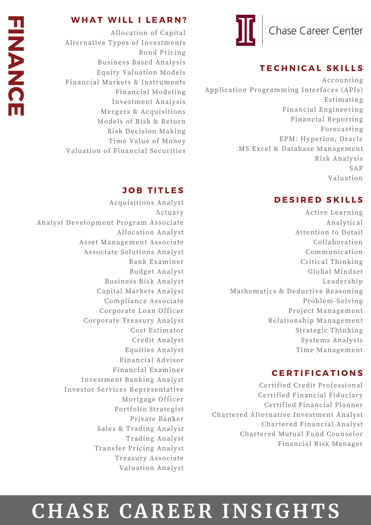### **TECHNICAL SKILLS**

Accounting Application Programming Interfaces (APIs) Estimating Financial Engineering Financial Reporting Forecasting EPM: Hyperion, Oracle MS Excel & Database Management Risk Analysis SAP Valuation

### DESIRED SKILLS

Active Learning Analytical Attention to Detail Collaboration Communication Critical Thinking Global Mindset Leadership Mathematics & Deductive Reasoning Problem-Solving Project Management Relationship Management Strategic Thinking Systems Analysis Time Management

### **CERTIFICATIONS**

Certified Credit Professional Certified Financial Fiduciary Certified Financial Planner Chartered Alternative Investment Analyst Chartered Financial Analyst Chartered Mutual Fund Counselor Financial Risk Manager

### WHAT WILL I LEARN?

Allocation of Capital Alternative Types of Investments Bond Pricing Business Based Analysis Equity Valuation Models Financial Markets & Instruments Financial Modeling Investment Analysis Mergers & Acquisitions Models of Risk & Return Risk Decision Making Time Value of Money Valuation of Financial Securities

### **JOB TITLES**

Acquisitions Analyst Actuary Analyst Development Program Associate Allocation Analyst Asset Management Associate Associate Solutions Analyst Bank Examiner Budget Analyst Business Risk Analyst Capital Markets Analyst Compliance Associate Corporate Loan Officer Corporate Treasury Analyst Cost Estimator Credit Analyst Equities Analyst Financial Advisor Financial Examiner Investment Banking Analyst Investor Services Representative Mortgage Officer Portfolio Strategist Private Banker Sales & Trading Analyst Trading Analyst Transfer Pricing Analyst Treasury Associate Valuation Analyst

## **C H ASE CAREER I N SIG H TS**